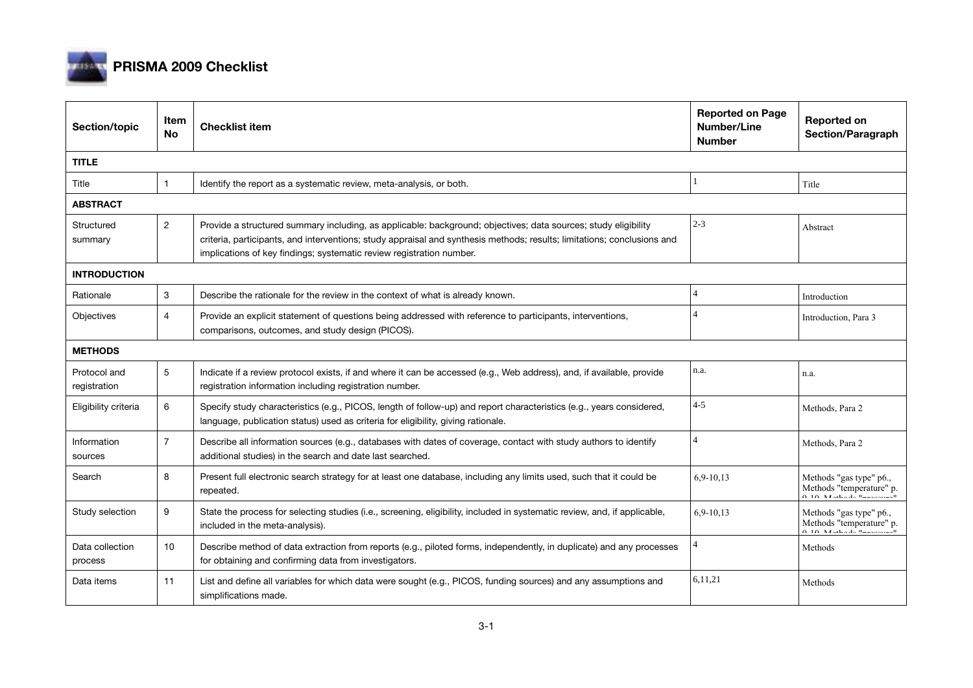

## **PRISMA 2009 Checklist**

| Section/topic                | Item<br><b>No</b> | <b>Checklist item</b>                                                                                                                                                                                                                                                                                             | <b>Reported on Page</b><br><b>Number/Line</b><br><b>Number</b> | <b>Reported on</b><br>Section/Paragraph                                                  |  |  |  |
|------------------------------|-------------------|-------------------------------------------------------------------------------------------------------------------------------------------------------------------------------------------------------------------------------------------------------------------------------------------------------------------|----------------------------------------------------------------|------------------------------------------------------------------------------------------|--|--|--|
| <b>TITLE</b>                 |                   |                                                                                                                                                                                                                                                                                                                   |                                                                |                                                                                          |  |  |  |
| Title                        |                   | Identify the report as a systematic review, meta-analysis, or both.                                                                                                                                                                                                                                               |                                                                | Title                                                                                    |  |  |  |
| <b>ABSTRACT</b>              |                   |                                                                                                                                                                                                                                                                                                                   |                                                                |                                                                                          |  |  |  |
| Structured<br>summary        | 2                 | Provide a structured summary including, as applicable: background; objectives; data sources; study eligibility<br>criteria, participants, and interventions; study appraisal and synthesis methods; results; limitations; conclusions and<br>implications of key findings; systematic review registration number. | $2 - 3$                                                        | Abstract                                                                                 |  |  |  |
| <b>INTRODUCTION</b>          |                   |                                                                                                                                                                                                                                                                                                                   |                                                                |                                                                                          |  |  |  |
| Rationale                    | 3                 | Describe the rationale for the review in the context of what is already known.                                                                                                                                                                                                                                    | 4                                                              | Introduction                                                                             |  |  |  |
| Objectives                   | 4                 | Provide an explicit statement of questions being addressed with reference to participants, interventions,<br>comparisons, outcomes, and study design (PICOS).                                                                                                                                                     | 4                                                              | Introduction, Para 3                                                                     |  |  |  |
| <b>METHODS</b>               |                   |                                                                                                                                                                                                                                                                                                                   |                                                                |                                                                                          |  |  |  |
| Protocol and<br>registration | 5                 | Indicate if a review protocol exists, if and where it can be accessed (e.g., Web address), and, if available, provide<br>registration information including registration number.                                                                                                                                  | n.a.                                                           | n.a.                                                                                     |  |  |  |
| Eligibility criteria         | 6                 | Specify study characteristics (e.g., PICOS, length of follow-up) and report characteristics (e.g., years considered,<br>language, publication status) used as criteria for eligibility, giving rationale.                                                                                                         | $4 - 5$                                                        | Methods, Para 2                                                                          |  |  |  |
| Information<br>sources       | $\overline{7}$    | Describe all information sources (e.g., databases with dates of coverage, contact with study authors to identify<br>additional studies) in the search and date last searched.                                                                                                                                     | 4                                                              | Methods, Para 2                                                                          |  |  |  |
| Search                       | 8                 | Present full electronic search strategy for at least one database, including any limits used, such that it could be<br>repeated.                                                                                                                                                                                  | $6,9-10,13$                                                    | Methods "gas type" p6.,<br>Methods "temperature" p.<br>$0.10.34 \times 1.30 \times 1000$ |  |  |  |
| Study selection              | 9                 | State the process for selecting studies (i.e., screening, eligibility, included in systematic review, and, if applicable,<br>included in the meta-analysis).                                                                                                                                                      | $6,9-10,13$                                                    | Methods "gas type" p6.,<br>Methods "temperature" p.                                      |  |  |  |
| Data collection<br>process   | 10                | Describe method of data extraction from reports (e.g., piloted forms, independently, in duplicate) and any processes<br>for obtaining and confirming data from investigators.                                                                                                                                     | 4                                                              | Methods                                                                                  |  |  |  |
| Data items                   | 11                | List and define all variables for which data were sought (e.g., PICOS, funding sources) and any assumptions and<br>simplifications made.                                                                                                                                                                          | 6,11,21                                                        | Methods                                                                                  |  |  |  |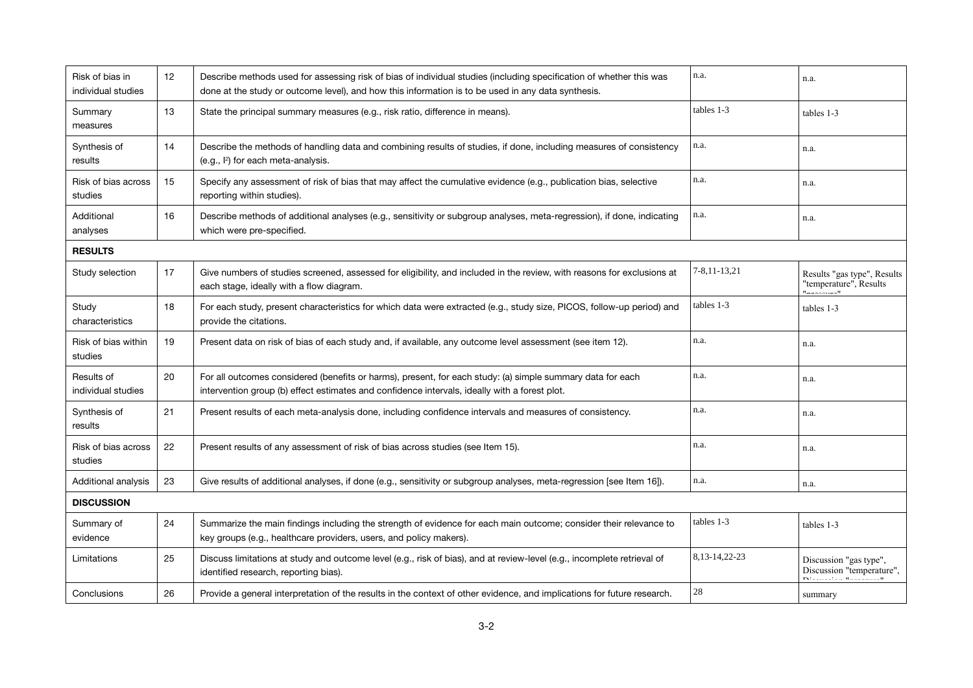| Risk of bias in<br>individual studies | 12 | Describe methods used for assessing risk of bias of individual studies (including specification of whether this was<br>done at the study or outcome level), and how this information is to be used in any data synthesis. | n.a.          | n.a.                                                                           |  |  |
|---------------------------------------|----|---------------------------------------------------------------------------------------------------------------------------------------------------------------------------------------------------------------------------|---------------|--------------------------------------------------------------------------------|--|--|
| Summary<br>measures                   | 13 | State the principal summary measures (e.g., risk ratio, difference in means).                                                                                                                                             | tables 1-3    | tables 1-3                                                                     |  |  |
| Synthesis of<br>results               | 14 | Describe the methods of handling data and combining results of studies, if done, including measures of consistency<br>(e.g., l <sup>2</sup> ) for each meta-analysis.                                                     | n.a.          | n.a.                                                                           |  |  |
| Risk of bias across<br>studies        | 15 | Specify any assessment of risk of bias that may affect the cumulative evidence (e.g., publication bias, selective<br>reporting within studies).                                                                           | n.a.          | n.a.                                                                           |  |  |
| Additional<br>analyses                | 16 | Describe methods of additional analyses (e.g., sensitivity or subgroup analyses, meta-regression), if done, indicating<br>which were pre-specified.                                                                       | n.a.          | n.a.                                                                           |  |  |
| <b>RESULTS</b>                        |    |                                                                                                                                                                                                                           |               |                                                                                |  |  |
| Study selection                       | 17 | Give numbers of studies screened, assessed for eligibility, and included in the review, with reasons for exclusions at<br>each stage, ideally with a flow diagram.                                                        | 7-8.11-13.21  | Results "gas type", Results<br>"temperature", Results                          |  |  |
| Study<br>characteristics              | 18 | For each study, present characteristics for which data were extracted (e.g., study size, PICOS, follow-up period) and<br>provide the citations.                                                                           | tables 1-3    | tables 1-3                                                                     |  |  |
| Risk of bias within<br>studies        | 19 | Present data on risk of bias of each study and, if available, any outcome level assessment (see item 12).                                                                                                                 | n.a.          | n.a.                                                                           |  |  |
| Results of<br>individual studies      | 20 | For all outcomes considered (benefits or harms), present, for each study: (a) simple summary data for each<br>intervention group (b) effect estimates and confidence intervals, ideally with a forest plot.               | n.a.          | n.a.                                                                           |  |  |
| Synthesis of<br>results               | 21 | Present results of each meta-analysis done, including confidence intervals and measures of consistency.                                                                                                                   | n.a.          | n.a.                                                                           |  |  |
| Risk of bias across<br>studies        | 22 | Present results of any assessment of risk of bias across studies (see Item 15).                                                                                                                                           | n.a.          | n.a.                                                                           |  |  |
| Additional analysis                   | 23 | Give results of additional analyses, if done (e.g., sensitivity or subgroup analyses, meta-regression [see Item 16]).                                                                                                     | n.a.          | n.a.                                                                           |  |  |
| <b>DISCUSSION</b>                     |    |                                                                                                                                                                                                                           |               |                                                                                |  |  |
| Summary of<br>evidence                | 24 | Summarize the main findings including the strength of evidence for each main outcome; consider their relevance to<br>key groups (e.g., healthcare providers, users, and policy makers).                                   | tables 1-3    | tables 1-3                                                                     |  |  |
| Limitations                           | 25 | Discuss limitations at study and outcome level (e.g., risk of bias), and at review-level (e.g., incomplete retrieval of<br>identified research, reporting bias).                                                          | 8,13-14,22-23 | Discussion "gas type",<br>Discussion "temperature",<br><b>Internation Base</b> |  |  |
| Conclusions                           | 26 | Provide a general interpretation of the results in the context of other evidence, and implications for future research.                                                                                                   | 28            | summary                                                                        |  |  |